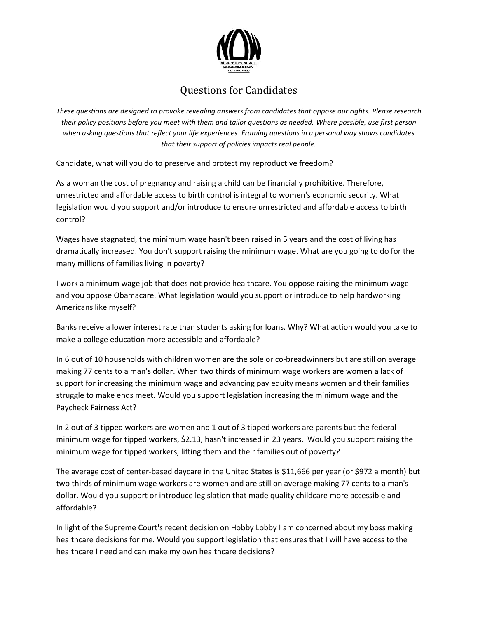

## Questions for Candidates

*These questions are designed to provoke revealing answers from candidates that oppose our rights. Please research their policy positions before you meet with them and tailor questions as needed. Where possible, use first person when asking questions that reflect your life experiences. Framing questions in a personal way shows candidates that their support of policies impacts real people.* 

Candidate, what will you do to preserve and protect my reproductive freedom?

As a woman the cost of pregnancy and raising a child can be financially prohibitive. Therefore, unrestricted and affordable access to birth control is integral to women's economic security. What legislation would you support and/or introduce to ensure unrestricted and affordable access to birth control?

Wages have stagnated, the minimum wage hasn't been raised in 5 years and the cost of living has dramatically increased. You don't support raising the minimum wage. What are you going to do for the many millions of families living in poverty?

I work a minimum wage job that does not provide healthcare. You oppose raising the minimum wage and you oppose Obamacare. What legislation would you support or introduce to help hardworking Americans like myself?

Banks receive a lower interest rate than students asking for loans. Why? What action would you take to make a college education more accessible and affordable?

In 6 out of 10 households with children women are the sole or co-breadwinners but are still on average making 77 cents to a man's dollar. When two thirds of minimum wage workers are women a lack of support for increasing the minimum wage and advancing pay equity means women and their families struggle to make ends meet. Would you support legislation increasing the minimum wage and the Paycheck Fairness Act?

In 2 out of 3 tipped workers are women and 1 out of 3 tipped workers are parents but the federal minimum wage for tipped workers, \$2.13, hasn't increased in 23 years. Would you support raising the minimum wage for tipped workers, lifting them and their families out of poverty?

The average cost of center-based daycare in the United States is \$11,666 per year (or \$972 a month) but two thirds of minimum wage workers are women and are still on average making 77 cents to a man's dollar. Would you support or introduce legislation that made quality childcare more accessible and affordable?

In light of the Supreme Court's recent decision on Hobby Lobby I am concerned about my boss making healthcare decisions for me. Would you support legislation that ensures that I will have access to the healthcare I need and can make my own healthcare decisions?